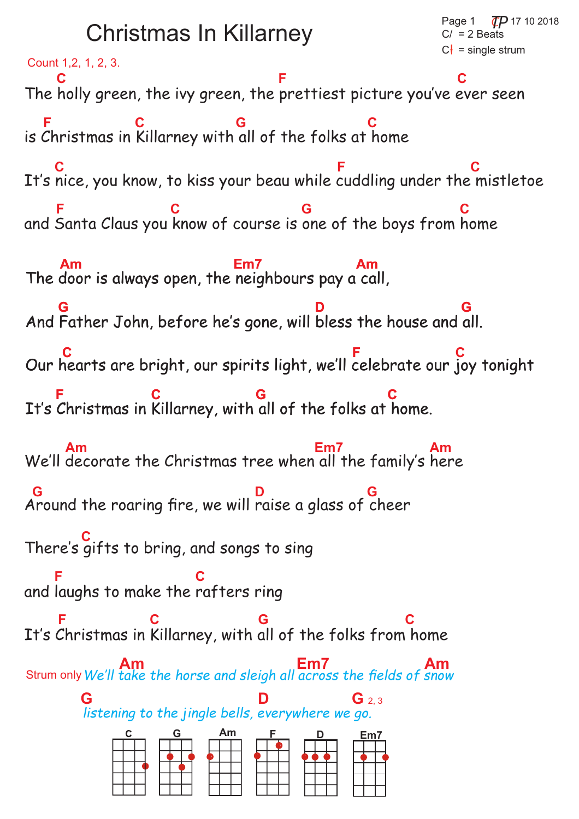